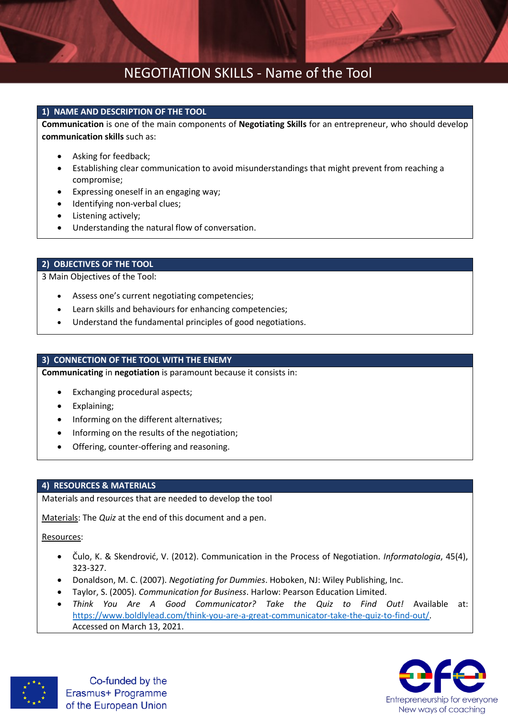## NEGOTIATION SKILLS - Name of the Tool

### **1) NAME AND DESCRIPTION OF THE TOOL**

**Communication** is one of the main components of **Negotiating Skills** for an entrepreneur, who should develop **communication skills** such as:

- Asking for feedback;
- Establishing clear communication to avoid misunderstandings that might prevent from reaching a compromise;
- Expressing oneself in an engaging way;
- Identifying non-verbal clues;
- Listening actively;
- Understanding the natural flow of conversation.

### **2) OBJECTIVES OF THE TOOL**

3 Main Objectives of the Tool:

- Assess one's current negotiating competencies;
- Learn skills and behaviours for enhancing competencies;
- Understand the fundamental principles of good negotiations.

### **3) CONNECTION OF THE TOOL WITH THE ENEMY**

**Communicating** in **negotiation** is paramount because it consists in:

- Exchanging procedural aspects;
- Explaining;
- Informing on the different alternatives;
- Informing on the results of the negotiation;
- Offering, counter-offering and reasoning.

### **4) RESOURCES & MATERIALS**

Materials and resources that are needed to develop the tool

Materials: The *Quiz* at the end of this document and a pen.

### Resources:

- Čulo, K. & Skendrović, V. (2012). Communication in the Process of Negotiation. *Informatologia*, 45(4), 323-327.
- Donaldson, M. C. (2007). *Negotiating for Dummies*. Hoboken, NJ: Wiley Publishing, Inc.
- Taylor, S. (2005). *Communication for Business*. Harlow: Pearson Education Limited.
- *Think You Are A Good Communicator? Take the Quiz to Find Out!* Available at: [https://www.boldlylead.com/think-you-are-a-great-communicator-take-the-quiz-to-find-out/.](https://www.boldlylead.com/think-you-are-a-great-communicator-take-the-quiz-to-find-out/) Accessed on March 13, 2021.



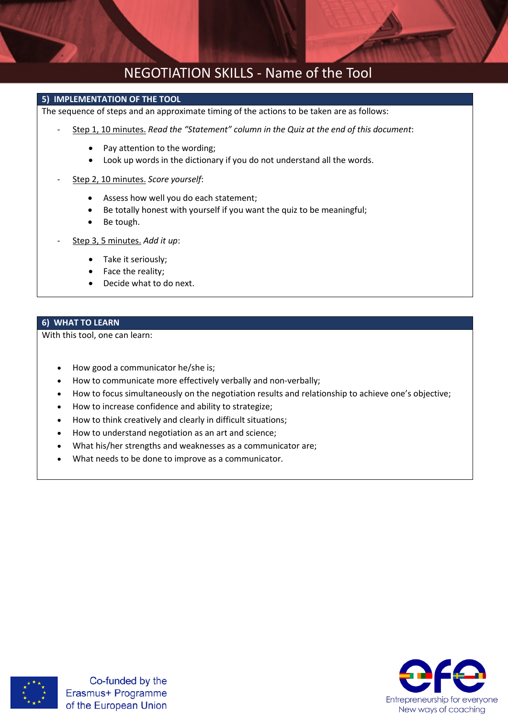

### **5) IMPLEMENTATION OF THE TOOL**

The sequence of steps and an approximate timing of the actions to be taken are as follows:

- Step 1, 10 minutes. *Read the "Statement" column in the Quiz at the end of this document*:
	- Pay attention to the wording:
	- Look up words in the dictionary if you do not understand all the words.
- Step 2, 10 minutes. *Score yourself*:
	- Assess how well you do each statement;
	- Be totally honest with yourself if you want the quiz to be meaningful;
	- Be tough.
- Step 3, 5 minutes. *Add it up*:
	- Take it seriously;
	- Face the reality;
	- Decide what to do next.

### **6) WHAT TO LEARN**

With this tool, one can learn:

- How good a communicator he/she is;
- How to communicate more effectively verbally and non-verbally;
- How to focus simultaneously on the negotiation results and relationship to achieve one's objective;
- How to increase confidence and ability to strategize;
- How to think creatively and clearly in difficult situations;
- How to understand negotiation as an art and science;
- What his/her strengths and weaknesses as a communicator are;
- What needs to be done to improve as a communicator.



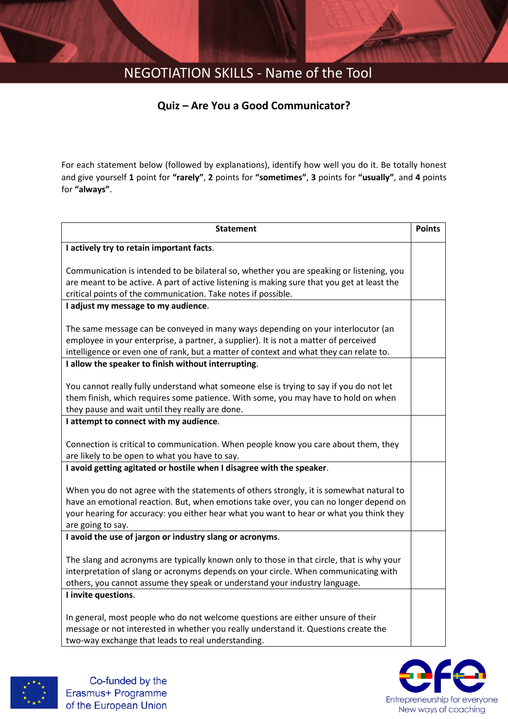# NEGOTIATION SKILLS - Name of the Tool

### **Quiz – Are You a Good Communicator?**

For each statement below (followed by explanations), identify how well you do it. Be totally honest and give yourself **1** point for **"rarely"**, **2** points for **"sometimes"**, **3** points for **"usually"**, and **4** points for **"always"**.

| <b>Statement</b>                                                                                                                                                                                                                                                                                 | <b>Points</b> |
|--------------------------------------------------------------------------------------------------------------------------------------------------------------------------------------------------------------------------------------------------------------------------------------------------|---------------|
| I actively try to retain important facts.                                                                                                                                                                                                                                                        |               |
| Communication is intended to be bilateral so, whether you are speaking or listening, you<br>are meant to be active. A part of active listening is making sure that you get at least the<br>critical points of the communication. Take notes if possible.                                         |               |
| I adjust my message to my audience.                                                                                                                                                                                                                                                              |               |
| The same message can be conveyed in many ways depending on your interlocutor (an<br>employee in your enterprise, a partner, a supplier). It is not a matter of perceived<br>intelligence or even one of rank, but a matter of context and what they can relate to.                               |               |
| I allow the speaker to finish without interrupting.                                                                                                                                                                                                                                              |               |
| You cannot really fully understand what someone else is trying to say if you do not let<br>them finish, which requires some patience. With some, you may have to hold on when<br>they pause and wait until they really are done.                                                                 |               |
| I attempt to connect with my audience.                                                                                                                                                                                                                                                           |               |
| Connection is critical to communication. When people know you care about them, they<br>are likely to be open to what you have to say.                                                                                                                                                            |               |
| I avoid getting agitated or hostile when I disagree with the speaker.                                                                                                                                                                                                                            |               |
| When you do not agree with the statements of others strongly, it is somewhat natural to<br>have an emotional reaction. But, when emotions take over, you can no longer depend on<br>your hearing for accuracy: you either hear what you want to hear or what you think they<br>are going to say. |               |
| I avoid the use of jargon or industry slang or acronyms.                                                                                                                                                                                                                                         |               |
| The slang and acronyms are typically known only to those in that circle, that is why your<br>interpretation of slang or acronyms depends on your circle. When communicating with<br>others, you cannot assume they speak or understand your industry language.                                   |               |
| I invite questions.                                                                                                                                                                                                                                                                              |               |
| In general, most people who do not welcome questions are either unsure of their<br>message or not interested in whether you really understand it. Questions create the<br>two-way exchange that leads to real understanding.                                                                     |               |